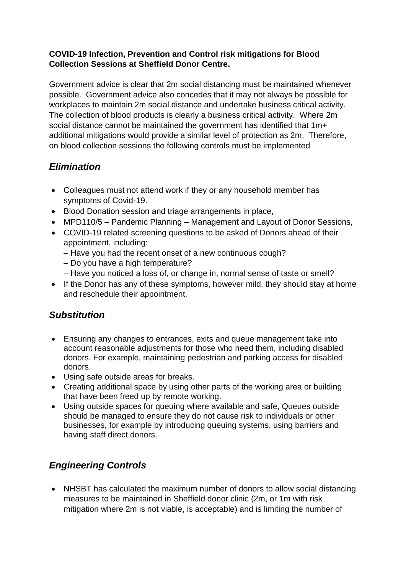#### **COVID-19 Infection, Prevention and Control risk mitigations for Blood Collection Sessions at Sheffield Donor Centre.**

Government advice is clear that 2m social distancing must be maintained whenever possible. Government advice also concedes that it may not always be possible for workplaces to maintain 2m social distance and undertake business critical activity. The collection of blood products is clearly a business critical activity. Where 2m social distance cannot be maintained the government has identified that 1m+ additional mitigations would provide a similar level of protection as 2m. Therefore, on blood collection sessions the following controls must be implemented

## *Elimination*

- Colleagues must not attend work if they or any household member has symptoms of Covid-19.
- Blood Donation session and triage arrangements in place,
- MPD110/5 Pandemic Planning Management and Layout of Donor Sessions,
- COVID-19 related screening questions to be asked of Donors ahead of their appointment, including:
	- Have you had the recent onset of a new continuous cough?
	- Do you have a high temperature?
	- Have you noticed a loss of, or change in, normal sense of taste or smell?
- If the Donor has any of these symptoms, however mild, they should stay at home and reschedule their appointment.

### *Substitution*

- Ensuring any changes to entrances, exits and queue management take into account reasonable adjustments for those who need them, including disabled donors. For example, maintaining pedestrian and parking access for disabled donors.
- Using safe outside areas for breaks.
- Creating additional space by using other parts of the working area or building that have been freed up by remote working.
- Using outside spaces for queuing where available and safe, Queues outside should be managed to ensure they do not cause risk to individuals or other businesses, for example by introducing queuing systems, using barriers and having staff direct donors.

# *Engineering Controls*

• NHSBT has calculated the maximum number of donors to allow social distancing measures to be maintained in Sheffield donor clinic (2m, or 1m with risk mitigation where 2m is not viable, is acceptable) and is limiting the number of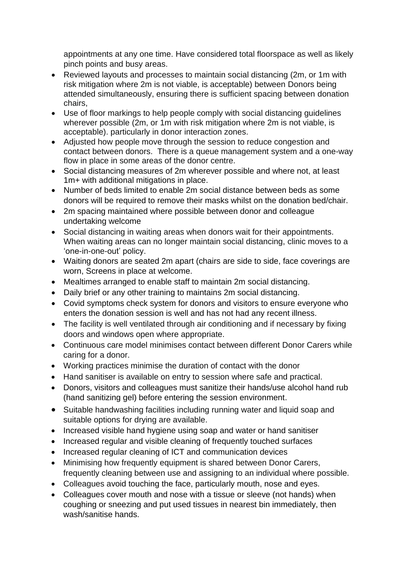appointments at any one time. Have considered total floorspace as well as likely pinch points and busy areas.

- Reviewed layouts and processes to maintain social distancing (2m, or 1m with risk mitigation where 2m is not viable, is acceptable) between Donors being attended simultaneously, ensuring there is sufficient spacing between donation chairs,
- Use of floor markings to help people comply with social distancing guidelines wherever possible (2m, or 1m with risk mitigation where 2m is not viable, is acceptable). particularly in donor interaction zones.
- Adjusted how people move through the session to reduce congestion and contact between donors. There is a queue management system and a one-way flow in place in some areas of the donor centre.
- Social distancing measures of 2m wherever possible and where not, at least 1m+ with additional mitigations in place.
- Number of beds limited to enable 2m social distance between beds as some donors will be required to remove their masks whilst on the donation bed/chair.
- 2m spacing maintained where possible between donor and colleague undertaking welcome
- Social distancing in waiting areas when donors wait for their appointments. When waiting areas can no longer maintain social distancing, clinic moves to a 'one-in-one-out' policy.
- Waiting donors are seated 2m apart (chairs are side to side, face coverings are worn, Screens in place at welcome.
- Mealtimes arranged to enable staff to maintain 2m social distancing.
- Daily brief or any other training to maintains 2m social distancing.
- Covid symptoms check system for donors and visitors to ensure everyone who enters the donation session is well and has not had any recent illness.
- The facility is well ventilated through air conditioning and if necessary by fixing doors and windows open where appropriate.
- Continuous care model minimises contact between different Donor Carers while caring for a donor.
- Working practices minimise the duration of contact with the donor
- Hand sanitiser is available on entry to session where safe and practical.
- Donors, visitors and colleagues must sanitize their hands/use alcohol hand rub (hand sanitizing gel) before entering the session environment.
- Suitable handwashing facilities including running water and liquid soap and suitable options for drying are available.
- Increased visible hand hygiene using soap and water or hand sanitiser
- Increased regular and visible cleaning of frequently touched surfaces
- Increased regular cleaning of ICT and communication devices
- Minimising how frequently equipment is shared between Donor Carers, frequently cleaning between use and assigning to an individual where possible.
- Colleagues avoid touching the face, particularly mouth, nose and eyes.
- Colleagues cover mouth and nose with a tissue or sleeve (not hands) when coughing or sneezing and put used tissues in nearest bin immediately, then wash/sanitise hands.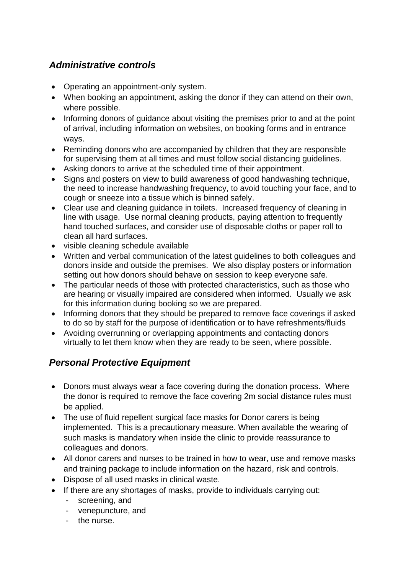### *Administrative controls*

- Operating an appointment-only system.
- When booking an appointment, asking the donor if they can attend on their own, where possible.
- Informing donors of guidance about visiting the premises prior to and at the point of arrival, including information on websites, on booking forms and in entrance ways.
- Reminding donors who are accompanied by children that they are responsible for supervising them at all times and must follow social distancing guidelines.
- Asking donors to arrive at the scheduled time of their appointment.
- Signs and posters on view to build awareness of good handwashing technique, the need to increase handwashing frequency, to avoid touching your face, and to cough or sneeze into a tissue which is binned safely.
- Clear use and cleaning quidance in toilets. Increased frequency of cleaning in line with usage. Use normal cleaning products, paying attention to frequently hand touched surfaces, and consider use of disposable cloths or paper roll to clean all hard surfaces.
- visible cleaning schedule available
- Written and verbal communication of the latest guidelines to both colleagues and donors inside and outside the premises. We also display posters or information setting out how donors should behave on session to keep everyone safe.
- The particular needs of those with protected characteristics, such as those who are hearing or visually impaired are considered when informed. Usually we ask for this information during booking so we are prepared.
- Informing donors that they should be prepared to remove face coverings if asked to do so by staff for the purpose of identification or to have refreshments/fluids
- Avoiding overrunning or overlapping appointments and contacting donors virtually to let them know when they are ready to be seen, where possible.

### *Personal Protective Equipment*

- Donors must always wear a face covering during the donation process. Where the donor is required to remove the face covering 2m social distance rules must be applied.
- The use of fluid repellent surgical face masks for Donor carers is being implemented. This is a precautionary measure. When available the wearing of such masks is mandatory when inside the clinic to provide reassurance to colleagues and donors.
- All donor carers and nurses to be trained in how to wear, use and remove masks and training package to include information on the hazard, risk and controls.
- Dispose of all used masks in clinical waste.
- If there are any shortages of masks, provide to individuals carrying out:
	- screening, and
	- venepuncture, and
	- the nurse.